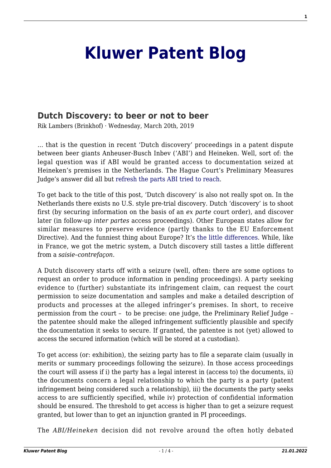## **[Kluwer Patent Blog](http://patentblog.kluweriplaw.com/)**

## **[Dutch Discovery: to beer or not to beer](http://patentblog.kluweriplaw.com/2019/03/20/dutch-discovery-to-beer-or-not-to-beer/)**

Rik Lambers (Brinkhof) · Wednesday, March 20th, 2019

… that is the question in recent 'Dutch discovery' proceedings in a patent dispute between beer giants Anheuser-Busch Inbev ('ABI') and Heineken. Well, sort of: the legal question was if ABI would be granted access to documentation seized at Heineken's premises in the Netherlands. The Hague Court's Preliminary Measures Judge's answer did all but [refresh the parts ABI tried to reach](https://www.creativereview.co.uk/refreshes-the-parts-other-beers-cannot-reach/).

To get back to the title of this post, 'Dutch discovery' is also not really spot on. In the Netherlands there exists no U.S. style pre-trial discovery. Dutch 'discovery' is to shoot first (by securing information on the basis of an *ex parte* court order), and discover later (in follow-up *inter partes* access proceedings). Other European states allow for similar measures to preserve evidence (partly thanks to the EU Enforcement Directive). And the funniest thing about Europe? It's [the little differences.](https://www.youtube.com/watch?v=ab7eVVG3I8s) While, like in France, we got the metric system, a Dutch discovery still tastes a little different from a *saisie*–*contrefaçon.*

A Dutch discovery starts off with a seizure (well, often: there are some options to request an order to produce information in pending proceedings). A party seeking evidence to (further) substantiate its infringement claim, can request the court permission to seize documentation and samples and make a detailed description of products and processes at the alleged infringer's premises. In short, to receive permission from the court – to be precise: one judge, the Preliminary Relief Judge – the patentee should make the alleged infringement sufficiently plausible and specify the documentation it seeks to secure. If granted, the patentee is not (yet) allowed to access the secured information (which will be stored at a custodian).

To get access (or: exhibition), the seizing party has to file a separate claim (usually in merits or summary proceedings following the seizure). In those access proceedings the court will assess if i) the party has a legal interest in (access to) the documents, ii) the documents concern a legal relationship to which the party is a party (patent infringement being considered such a relationship), iii) the documents the party seeks access to are sufficiently specified, while iv) protection of confidential information should be ensured. The threshold to get access is higher than to get a seizure request granted, but lower than to get an injunction granted in PI proceedings.

The *ABI/Heineken* decision did not revolve around the often hotly debated

**1**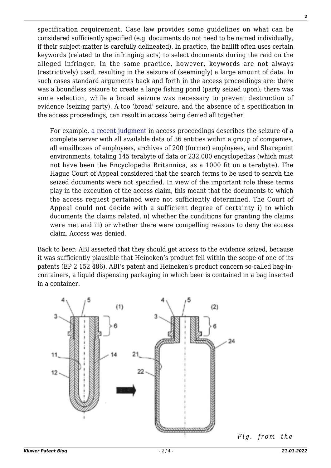specification requirement. Case law provides some guidelines on what can be considered sufficiently specified (e.g. documents do not need to be named individually, if their subject-matter is carefully delineated). In practice, the bailiff often uses certain keywords (related to the infringing acts) to select documents during the raid on the alleged infringer. In the same practice, however, keywords are not always (restrictively) used, resulting in the seizure of (seemingly) a large amount of data. In such cases standard arguments back and forth in the access proceedings are: there was a boundless seizure to create a large fishing pond (party seized upon); there was some selection, while a broad seizure was necessary to prevent destruction of evidence (seizing party). A too 'broad' seizure, and the absence of a specification in the access proceedings, can result in access being denied all together.

For example, [a recent judgment](http://deeplink.rechtspraak.nl/uitspraak?id=ECLI:NL:GHDHA:2018:3214) in access proceedings describes the seizure of a complete server with all available data of 36 entities within a group of companies, all emailboxes of employees, archives of 200 (former) employees, and Sharepoint environments, totaling 145 terabyte of data or 232,000 encyclopedias (which must not have been the Encyclopedia Britannica, as a 1000 fit on a terabyte). The Hague Court of Appeal considered that the search terms to be used to search the seized documents were not specified. In view of the important role these terms play in the execution of the access claim, this meant that the documents to which the access request pertained were not sufficiently determined. The Court of Appeal could not decide with a sufficient degree of certainty i) to which documents the claims related, ii) whether the conditions for granting the claims were met and iii) or whether there were compelling reasons to deny the access claim. Access was denied.

Back to beer: ABI asserted that they should get access to the evidence seized, because it was sufficiently plausible that Heineken's product fell within the scope of one of its patents (EP 2 152 486). ABI's patent and Heineken's product concern so-called bag-incontainers, a liquid dispensing packaging in which beer is contained in a bag inserted in a container.



*[F](http://patentblog.kluweriplaw.com/wp-content/uploads/sites/52/2019/03/beer-bag-pic.png)ig. from the*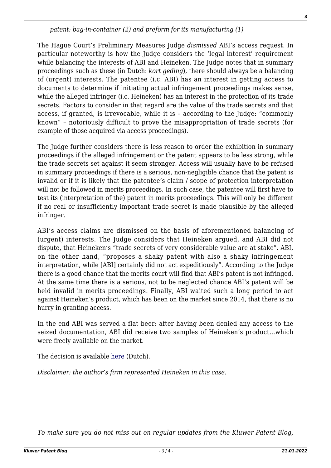*patent: bag-in-container (2) and preform for its manufacturing (1)*

The Hague Court's Preliminary Measures Judge *dismissed* ABI's access request. In particular noteworthy is how the Judge considers the 'legal interest' requirement while balancing the interests of ABI and Heineken. The Judge notes that in summary proceedings such as these (in Dutch: *kort geding*), there should always be a balancing of (urgent) interests. The patentee (i.c. ABI) has an interest in getting access to documents to determine if initiating actual infringement proceedings makes sense, while the alleged infringer (i.c. Heineken) has an interest in the protection of its trade secrets. Factors to consider in that regard are the value of the trade secrets and that access, if granted, is irrevocable, while it is – according to the Judge: "commonly known" – notoriously difficult to prove the misappropriation of trade secrets (for example of those acquired via access proceedings).

The Judge further considers there is less reason to order the exhibition in summary proceedings if the alleged infringement or the patent appears to be less strong, while the trade secrets set against it seem stronger. Access will usually have to be refused in summary proceedings if there is a serious, non-negligible chance that the patent is invalid or if it is likely that the patentee's claim / scope of protection interpretation will not be followed in merits proceedings. In such case, the patentee will first have to test its (interpretation of the) patent in merits proceedings. This will only be different if no real or insufficiently important trade secret is made plausible by the alleged infringer.

ABI's access claims are dismissed on the basis of aforementioned balancing of (urgent) interests. The Judge considers that Heineken argued, and ABI did not dispute, that Heineken's "trade secrets of very considerable value are at stake". ABI, on the other hand, "proposes a shaky patent with also a shaky infringement interpretation, while [ABI] certainly did not act expeditiously". According to the Judge there is a good chance that the merits court will find that ABI's patent is not infringed. At the same time there is a serious, not to be neglected chance ABI's patent will be held invalid in merits proceedings. Finally, ABI waited such a long period to act against Heineken's product, which has been on the market since 2014, that there is no hurry in granting access.

In the end ABI was served a flat beer: after having been denied any access to the seized documentation, ABI did receive two samples of Heineken's product…which were freely available on the market.

The decision is available [here](http://deeplink.rechtspraak.nl/uitspraak?id=ECLI:NL:RBDHA:2019:853) (Dutch).

 $\mathcal{L}_\text{max}$ 

*Disclaimer: the author's firm represented Heineken in this case.*

*To make sure you do not miss out on regular updates from the Kluwer Patent Blog,*